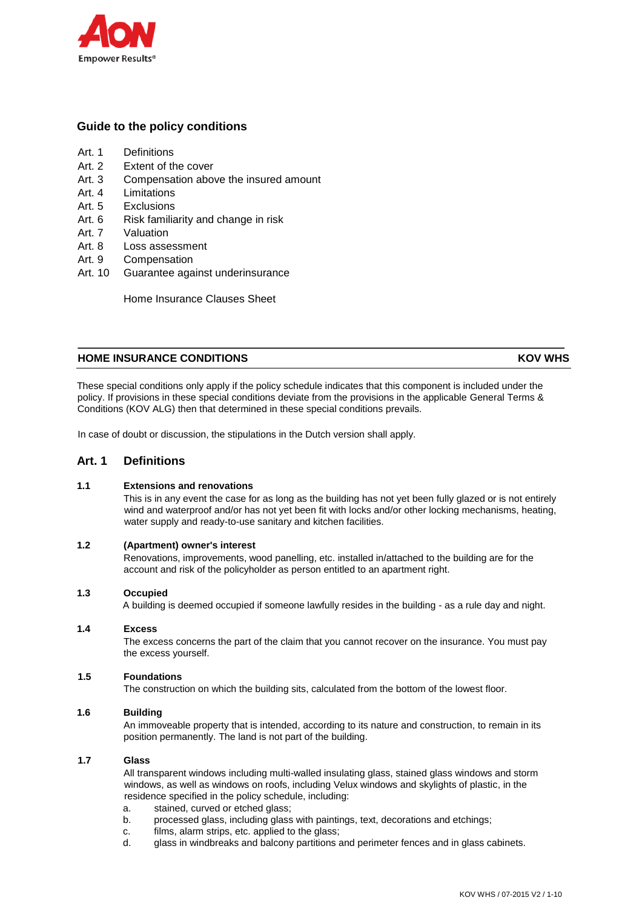

# **Guide to the policy conditions**

- Art. 1 Definitions
- Art. 2 Extent of the cover
- Art. 3 Compensation above the insured amount
- Art. 4 Limitations
- Art. 5 Exclusions
- Art. 6 Risk familiarity and change in risk
- Art. 7 Valuation
- Art. 8 Loss assessment
- Art. 9 Compensation
- Art. 10 Guarantee against underinsurance

Home Insurance Clauses Sheet

# **HOME INSURANCE CONDITIONS CONDITIONS AND LOCAL CONDITIONS CONDITIONS**

These special conditions only apply if the policy schedule indicates that this component is included under the policy. If provisions in these special conditions deviate from the provisions in the applicable General Terms & Conditions (KOV ALG) then that determined in these special conditions prevails.

In case of doubt or discussion, the stipulations in the Dutch version shall apply.

# **Art. 1 Definitions**

# **1.1 Extensions and renovations**

This is in any event the case for as long as the building has not yet been fully glazed or is not entirely wind and waterproof and/or has not yet been fit with locks and/or other locking mechanisms, heating, water supply and ready-to-use sanitary and kitchen facilities.

## **1.2 (Apartment) owner's interest**

Renovations, improvements, wood panelling, etc. installed in/attached to the building are for the account and risk of the policyholder as person entitled to an apartment right.

#### **1.3 Occupied**

A building is deemed occupied if someone lawfully resides in the building - as a rule day and night.

#### **1.4 Excess**

The excess concerns the part of the claim that you cannot recover on the insurance. You must pay the excess yourself.

# **1.5 Foundations**

The construction on which the building sits, calculated from the bottom of the lowest floor.

# **1.6 Building**

An immoveable property that is intended, according to its nature and construction, to remain in its position permanently. The land is not part of the building.

## **1.7 Glass**

All transparent windows including multi-walled insulating glass, stained glass windows and storm windows, as well as windows on roofs, including Velux windows and skylights of plastic, in the residence specified in the policy schedule, including:

- a. stained, curved or etched glass;
- b. processed glass, including glass with paintings, text, decorations and etchings;
- c. films, alarm strips, etc. applied to the glass;
- d. glass in windbreaks and balcony partitions and perimeter fences and in glass cabinets.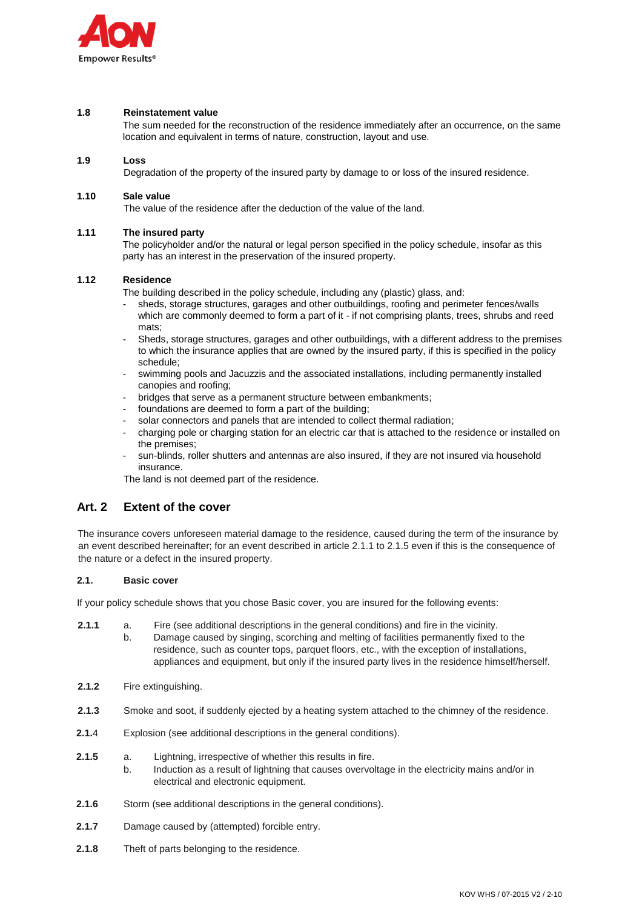

## **1.8 Reinstatement value**

The sum needed for the reconstruction of the residence immediately after an occurrence, on the same location and equivalent in terms of nature, construction, layout and use.

## **1.9 Loss**

Degradation of the property of the insured party by damage to or loss of the insured residence.

## **1.10 Sale value**

The value of the residence after the deduction of the value of the land.

## **1.11 The insured party**

The policyholder and/or the natural or legal person specified in the policy schedule, insofar as this party has an interest in the preservation of the insured property.

## **1.12 Residence**

The building described in the policy schedule, including any (plastic) glass, and:

- sheds, storage structures, garages and other outbuildings, roofing and perimeter fences/walls which are commonly deemed to form a part of it - if not comprising plants, trees, shrubs and reed mats;
- Sheds, storage structures, garages and other outbuildings, with a different address to the premises to which the insurance applies that are owned by the insured party, if this is specified in the policy schedule;
- swimming pools and Jacuzzis and the associated installations, including permanently installed canopies and roofing;
- bridges that serve as a permanent structure between embankments;
- foundations are deemed to form a part of the building;
- solar connectors and panels that are intended to collect thermal radiation;
- charging pole or charging station for an electric car that is attached to the residence or installed on the premises;
- sun-blinds, roller shutters and antennas are also insured, if they are not insured via household insurance.

The land is not deemed part of the residence.

# **Art. 2 Extent of the cover**

The insurance covers unforeseen material damage to the residence, caused during the term of the insurance by an event described hereinafter; for an event described in article 2.1.1 to 2.1.5 even if this is the consequence of the nature or a defect in the insured property.

#### **2.1. Basic cover**

If your policy schedule shows that you chose Basic cover, you are insured for the following events:

- **2.1.1** a. Fire (see additional descriptions in the general conditions) and fire in the vicinity.
	- b. Damage caused by singing, scorching and melting of facilities permanently fixed to the residence, such as counter tops, parquet floors, etc., with the exception of installations, appliances and equipment, but only if the insured party lives in the residence himself/herself.
- **2.1.2** Fire extinguishing.
- **2.1.3** Smoke and soot, if suddenly ejected by a heating system attached to the chimney of the residence.
- **2.1.4** Explosion (see additional descriptions in the general conditions).
- **2.1.5** a. Lightning, irrespective of whether this results in fire.
- b. Induction as a result of lightning that causes overvoltage in the electricity mains and/or in electrical and electronic equipment.
- **2.1.6** Storm (see additional descriptions in the general conditions).
- **2.1.7** Damage caused by (attempted) forcible entry.
- **2.1.8** Theft of parts belonging to the residence.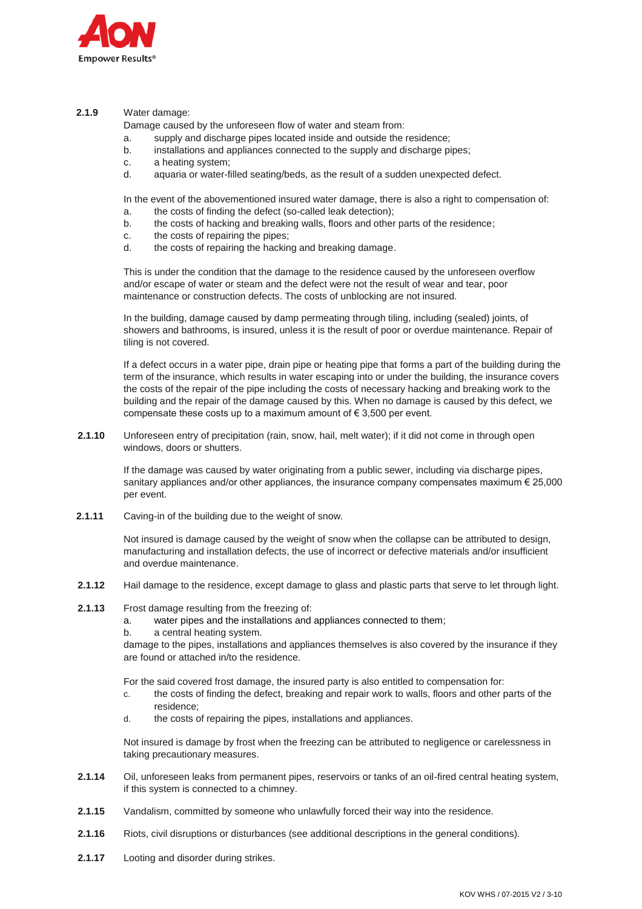

## **2.1.9** Water damage:

Damage caused by the unforeseen flow of water and steam from:

- a. supply and discharge pipes located inside and outside the residence;
- b. installations and appliances connected to the supply and discharge pipes;
- c. a heating system;
- d. aquaria or water-filled seating/beds, as the result of a sudden unexpected defect.

In the event of the abovementioned insured water damage, there is also a right to compensation of:

- a. the costs of finding the defect (so-called leak detection);
- b. the costs of hacking and breaking walls, floors and other parts of the residence;
- c. the costs of repairing the pipes;
- d. the costs of repairing the hacking and breaking damage.

This is under the condition that the damage to the residence caused by the unforeseen overflow and/or escape of water or steam and the defect were not the result of wear and tear, poor maintenance or construction defects. The costs of unblocking are not insured.

In the building, damage caused by damp permeating through tiling, including (sealed) joints, of showers and bathrooms, is insured, unless it is the result of poor or overdue maintenance. Repair of tiling is not covered.

If a defect occurs in a water pipe, drain pipe or heating pipe that forms a part of the building during the term of the insurance, which results in water escaping into or under the building, the insurance covers the costs of the repair of the pipe including the costs of necessary hacking and breaking work to the building and the repair of the damage caused by this. When no damage is caused by this defect, we compensate these costs up to a maximum amount of  $\epsilon$  3,500 per event.

**2.1.10** Unforeseen entry of precipitation (rain, snow, hail, melt water); if it did not come in through open windows, doors or shutters.

> If the damage was caused by water originating from a public sewer, including via discharge pipes, sanitary appliances and/or other appliances, the insurance company compensates maximum  $\epsilon$  25,000 per event.

**2.1.11** Caving-in of the building due to the weight of snow.

Not insured is damage caused by the weight of snow when the collapse can be attributed to design, manufacturing and installation defects, the use of incorrect or defective materials and/or insufficient and overdue maintenance.

- **2.1.12** Hail damage to the residence, except damage to glass and plastic parts that serve to let through light.
- **2.1.13** Frost damage resulting from the freezing of:
	- a. water pipes and the installations and appliances connected to them;
	- b. a central heating system.

damage to the pipes, installations and appliances themselves is also covered by the insurance if they are found or attached in/to the residence.

For the said covered frost damage, the insured party is also entitled to compensation for:

- c. the costs of finding the defect, breaking and repair work to walls, floors and other parts of the residence;
- d. the costs of repairing the pipes, installations and appliances.

Not insured is damage by frost when the freezing can be attributed to negligence or carelessness in taking precautionary measures.

- **2.1.14** Oil, unforeseen leaks from permanent pipes, reservoirs or tanks of an oil-fired central heating system, if this system is connected to a chimney.
- **2.1.15** Vandalism, committed by someone who unlawfully forced their way into the residence.
- **2.1.16** Riots, civil disruptions or disturbances (see additional descriptions in the general conditions).
- **2.1.17** Looting and disorder during strikes.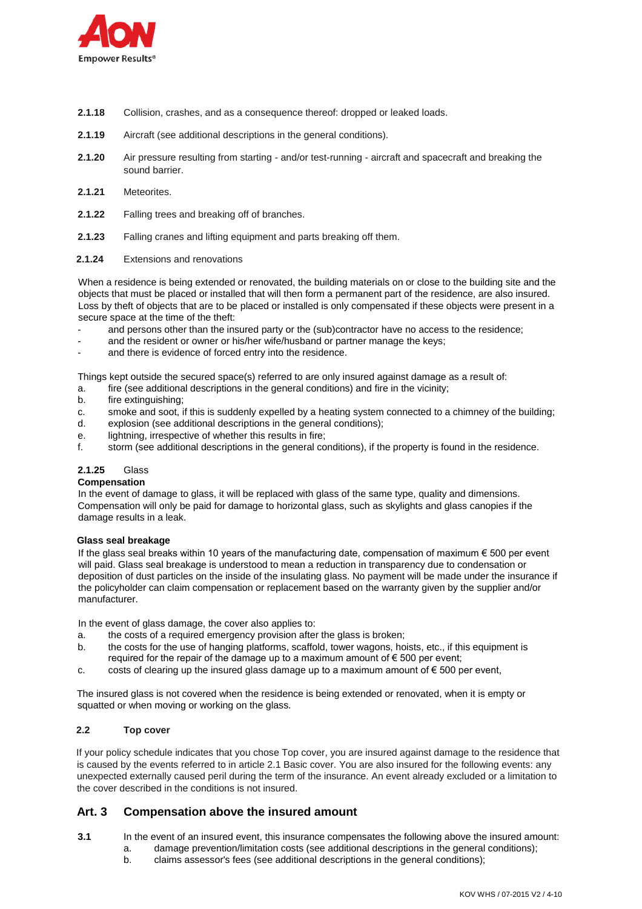

- **2.1.18** Collision, crashes, and as a consequence thereof: dropped or leaked loads.
- **2.1.19** Aircraft (see additional descriptions in the general conditions).
- **2.1.20** Air pressure resulting from starting and/or test-running aircraft and spacecraft and breaking the sound barrier.
- **2.1.21** Meteorites.
- **2.1.22** Falling trees and breaking off of branches.
- **2.1.23** Falling cranes and lifting equipment and parts breaking off them.
- **2.1.24** Extensions and renovations

When a residence is being extended or renovated, the building materials on or close to the building site and the objects that must be placed or installed that will then form a permanent part of the residence, are also insured. Loss by theft of objects that are to be placed or installed is only compensated if these objects were present in a secure space at the time of the theft:

- and persons other than the insured party or the (sub)contractor have no access to the residence;
- and the resident or owner or his/her wife/husband or partner manage the keys;
- and there is evidence of forced entry into the residence.

Things kept outside the secured space(s) referred to are only insured against damage as a result of:

- a. fire (see additional descriptions in the general conditions) and fire in the vicinity;
- b. fire extinguishing;
- c. smoke and soot, if this is suddenly expelled by a heating system connected to a chimney of the building;
- d. explosion (see additional descriptions in the general conditions);
- e. lightning, irrespective of whether this results in fire;
- f. storm (see additional descriptions in the general conditions), if the property is found in the residence.

# **2.1.25** Glass

# **Compensation**

In the event of damage to glass, it will be replaced with glass of the same type, quality and dimensions. Compensation will only be paid for damage to horizontal glass, such as skylights and glass canopies if the damage results in a leak.

#### **Glass seal breakage**

If the glass seal breaks within 10 years of the manufacturing date, compensation of maximum  $\epsilon$  500 per event will paid. Glass seal breakage is understood to mean a reduction in transparency due to condensation or deposition of dust particles on the inside of the insulating glass. No payment will be made under the insurance if the policyholder can claim compensation or replacement based on the warranty given by the supplier and/or manufacturer.

In the event of glass damage, the cover also applies to:

- a. the costs of a required emergency provision after the glass is broken;
- b. the costs for the use of hanging platforms, scaffold, tower wagons, hoists, etc., if this equipment is required for the repair of the damage up to a maximum amount of  $\epsilon$  500 per event;
- c. costs of clearing up the insured glass damage up to a maximum amount of  $\epsilon$  500 per event,

The insured glass is not covered when the residence is being extended or renovated, when it is empty or squatted or when moving or working on the glass.

# **2.2 Top cover**

If your policy schedule indicates that you chose Top cover, you are insured against damage to the residence that is caused by the events referred to in article 2.1 Basic cover. You are also insured for the following events: any unexpected externally caused peril during the term of the insurance. An event already excluded or a limitation to the cover described in the conditions is not insured.

# **Art. 3 Compensation above the insured amount**

- **3.1** In the event of an insured event, this insurance compensates the following above the insured amount: a. damage prevention/limitation costs (see additional descriptions in the general conditions);
	- b. claims assessor's fees (see additional descriptions in the general conditions);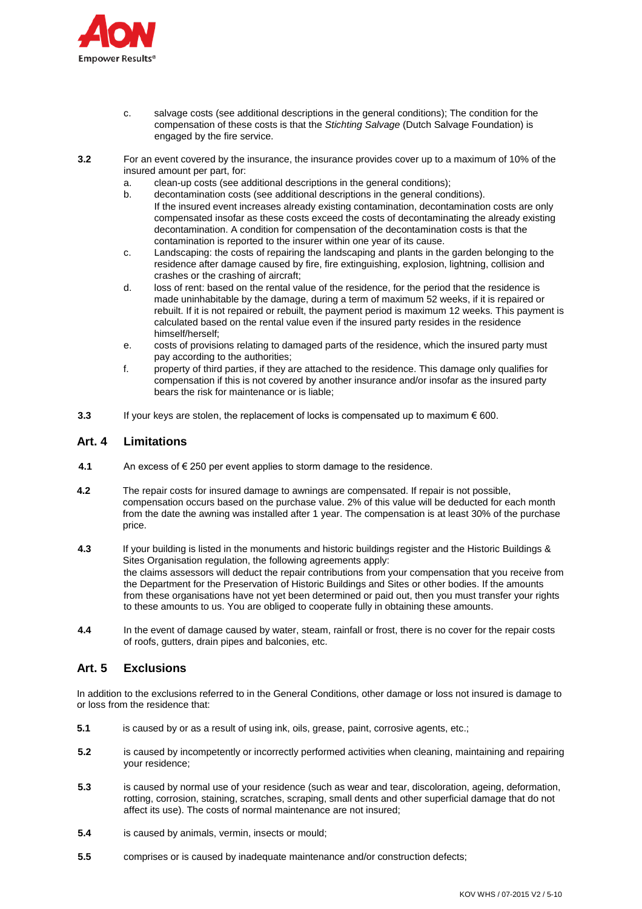

- c. salvage costs (see additional descriptions in the general conditions); The condition for the compensation of these costs is that the *Stichting Salvage* (Dutch Salvage Foundation) is engaged by the fire service.
- **3.2** For an event covered by the insurance, the insurance provides cover up to a maximum of 10% of the insured amount per part, for:
	- a. clean-up costs (see additional descriptions in the general conditions);
	- decontamination costs (see additional descriptions in the general conditions). If the insured event increases already existing contamination, decontamination costs are only compensated insofar as these costs exceed the costs of decontaminating the already existing decontamination. A condition for compensation of the decontamination costs is that the contamination is reported to the insurer within one year of its cause.
	- c. Landscaping: the costs of repairing the landscaping and plants in the garden belonging to the residence after damage caused by fire, fire extinguishing, explosion, lightning, collision and crashes or the crashing of aircraft;
	- d. loss of rent: based on the rental value of the residence, for the period that the residence is made uninhabitable by the damage, during a term of maximum 52 weeks, if it is repaired or rebuilt. If it is not repaired or rebuilt, the payment period is maximum 12 weeks. This payment is calculated based on the rental value even if the insured party resides in the residence himself/herself;
	- e. costs of provisions relating to damaged parts of the residence, which the insured party must pay according to the authorities;
	- f. property of third parties, if they are attached to the residence. This damage only qualifies for compensation if this is not covered by another insurance and/or insofar as the insured party bears the risk for maintenance or is liable;
- **3.3** If your keys are stolen, the replacement of locks is compensated up to maximum € 600.

# **Art. 4 Limitations**

- **4.1** An excess of € 250 per event applies to storm damage to the residence.
- **4.2** The repair costs for insured damage to awnings are compensated. If repair is not possible, compensation occurs based on the purchase value. 2% of this value will be deducted for each month from the date the awning was installed after 1 year. The compensation is at least 30% of the purchase price.
- **4.3** If your building is listed in the monuments and historic buildings register and the Historic Buildings & Sites Organisation regulation, the following agreements apply: the claims assessors will deduct the repair contributions from your compensation that you receive from the Department for the Preservation of Historic Buildings and Sites or other bodies. If the amounts from these organisations have not yet been determined or paid out, then you must transfer your rights to these amounts to us. You are obliged to cooperate fully in obtaining these amounts.
- **4.4** In the event of damage caused by water, steam, rainfall or frost, there is no cover for the repair costs of roofs, gutters, drain pipes and balconies, etc.

# **Art. 5 Exclusions**

In addition to the exclusions referred to in the General Conditions, other damage or loss not insured is damage to or loss from the residence that:

- **5.1** is caused by or as a result of using ink, oils, grease, paint, corrosive agents, etc.;
- **5.2** is caused by incompetently or incorrectly performed activities when cleaning, maintaining and repairing your residence;
- **5.3** is caused by normal use of your residence (such as wear and tear, discoloration, ageing, deformation, rotting, corrosion, staining, scratches, scraping, small dents and other superficial damage that do not affect its use). The costs of normal maintenance are not insured;
- **5.4** is caused by animals, vermin, insects or mould;
- **5.5** comprises or is caused by inadequate maintenance and/or construction defects;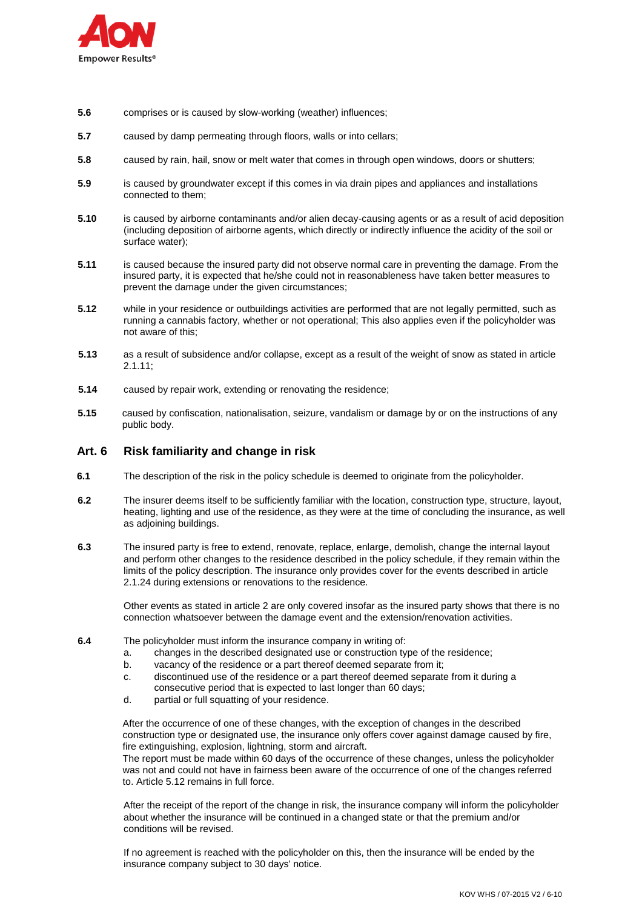

- **5.6** comprises or is caused by slow-working (weather) influences;
- **5.7** caused by damp permeating through floors, walls or into cellars;
- **5.8** caused by rain, hail, snow or melt water that comes in through open windows, doors or shutters;
- **5.9** is caused by groundwater except if this comes in via drain pipes and appliances and installations connected to them;
- **5.10** is caused by airborne contaminants and/or alien decay-causing agents or as a result of acid deposition (including deposition of airborne agents, which directly or indirectly influence the acidity of the soil or surface water);
- **5.11** is caused because the insured party did not observe normal care in preventing the damage. From the insured party, it is expected that he/she could not in reasonableness have taken better measures to prevent the damage under the given circumstances;
- **5.12** while in your residence or outbuildings activities are performed that are not legally permitted, such as running a cannabis factory, whether or not operational; This also applies even if the policyholder was not aware of this;
- **5.13** as a result of subsidence and/or collapse, except as a result of the weight of snow as stated in article 2.1.11;
- **5.14** caused by repair work, extending or renovating the residence;
- **5.15** caused by confiscation, nationalisation, seizure, vandalism or damage by or on the instructions of any public body.

# **Art. 6 Risk familiarity and change in risk**

- **6.1** The description of the risk in the policy schedule is deemed to originate from the policyholder.
- **6.2** The insurer deems itself to be sufficiently familiar with the location, construction type, structure, layout, heating, lighting and use of the residence, as they were at the time of concluding the insurance, as well as adjoining buildings.
- **6.3** The insured party is free to extend, renovate, replace, enlarge, demolish, change the internal layout and perform other changes to the residence described in the policy schedule, if they remain within the limits of the policy description. The insurance only provides cover for the events described in article 2.1.24 during extensions or renovations to the residence.

Other events as stated in article 2 are only covered insofar as the insured party shows that there is no connection whatsoever between the damage event and the extension/renovation activities.

- **6.4** The policyholder must inform the insurance company in writing of:
	- a. changes in the described designated use or construction type of the residence;
	- b. vacancy of the residence or a part thereof deemed separate from it;
	- c. discontinued use of the residence or a part thereof deemed separate from it during a consecutive period that is expected to last longer than 60 days;
	- d. partial or full squatting of your residence.

After the occurrence of one of these changes, with the exception of changes in the described construction type or designated use, the insurance only offers cover against damage caused by fire, fire extinguishing, explosion, lightning, storm and aircraft.

The report must be made within 60 days of the occurrence of these changes, unless the policyholder was not and could not have in fairness been aware of the occurrence of one of the changes referred to. Article 5.12 remains in full force.

After the receipt of the report of the change in risk, the insurance company will inform the policyholder about whether the insurance will be continued in a changed state or that the premium and/or conditions will be revised.

If no agreement is reached with the policyholder on this, then the insurance will be ended by the insurance company subject to 30 days' notice.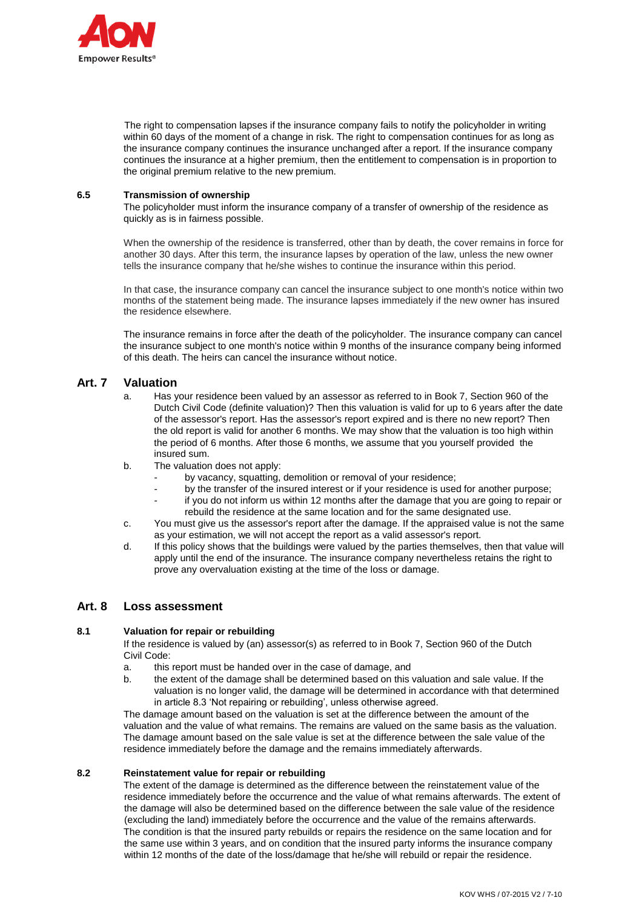

The right to compensation lapses if the insurance company fails to notify the policyholder in writing within 60 days of the moment of a change in risk. The right to compensation continues for as long as the insurance company continues the insurance unchanged after a report. If the insurance company continues the insurance at a higher premium, then the entitlement to compensation is in proportion to the original premium relative to the new premium.

## **6.5 Transmission of ownership**

The policyholder must inform the insurance company of a transfer of ownership of the residence as quickly as is in fairness possible.

When the ownership of the residence is transferred, other than by death, the cover remains in force for another 30 days. After this term, the insurance lapses by operation of the law, unless the new owner tells the insurance company that he/she wishes to continue the insurance within this period.

In that case, the insurance company can cancel the insurance subject to one month's notice within two months of the statement being made. The insurance lapses immediately if the new owner has insured the residence elsewhere.

The insurance remains in force after the death of the policyholder. The insurance company can cancel the insurance subject to one month's notice within 9 months of the insurance company being informed of this death. The heirs can cancel the insurance without notice.

# **Art. 7 Valuation**

- a. Has your residence been valued by an assessor as referred to in Book 7, Section 960 of the Dutch Civil Code (definite valuation)? Then this valuation is valid for up to 6 years after the date of the assessor's report. Has the assessor's report expired and is there no new report? Then the old report is valid for another 6 months. We may show that the valuation is too high within the period of 6 months. After those 6 months, we assume that you yourself provided the insured sum.
- b. The valuation does not apply:
	- by vacancy, squatting, demolition or removal of your residence;
	- by the transfer of the insured interest or if your residence is used for another purpose;
	- if you do not inform us within 12 months after the damage that you are going to repair or rebuild the residence at the same location and for the same designated use.
- c. You must give us the assessor's report after the damage. If the appraised value is not the same as your estimation, we will not accept the report as a valid assessor's report.
- d. If this policy shows that the buildings were valued by the parties themselves, then that value will apply until the end of the insurance. The insurance company nevertheless retains the right to prove any overvaluation existing at the time of the loss or damage.

# **Art. 8 Loss assessment**

# **8.1 Valuation for repair or rebuilding**

If the residence is valued by (an) assessor(s) as referred to in Book 7, Section 960 of the Dutch Civil Code:

- a. this report must be handed over in the case of damage, and
- b. the extent of the damage shall be determined based on this valuation and sale value. If the valuation is no longer valid, the damage will be determined in accordance with that determined in article 8.3 'Not repairing or rebuilding', unless otherwise agreed.

The damage amount based on the valuation is set at the difference between the amount of the valuation and the value of what remains. The remains are valued on the same basis as the valuation. The damage amount based on the sale value is set at the difference between the sale value of the residence immediately before the damage and the remains immediately afterwards.

# **8.2 Reinstatement value for repair or rebuilding**

The extent of the damage is determined as the difference between the reinstatement value of the residence immediately before the occurrence and the value of what remains afterwards. The extent of the damage will also be determined based on the difference between the sale value of the residence (excluding the land) immediately before the occurrence and the value of the remains afterwards. The condition is that the insured party rebuilds or repairs the residence on the same location and for the same use within 3 years, and on condition that the insured party informs the insurance company within 12 months of the date of the loss/damage that he/she will rebuild or repair the residence.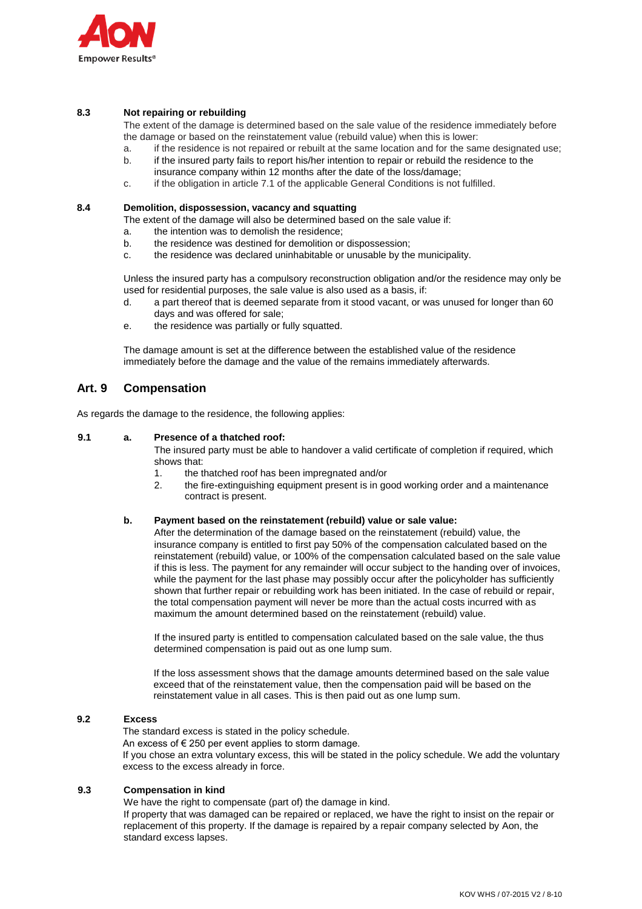

# **8.3 Not repairing or rebuilding**

The extent of the damage is determined based on the sale value of the residence immediately before the damage or based on the reinstatement value (rebuild value) when this is lower:

- a. if the residence is not repaired or rebuilt at the same location and for the same designated use;
- b. if the insured party fails to report his/her intention to repair or rebuild the residence to the insurance company within 12 months after the date of the loss/damage;
- c. if the obligation in article 7.1 of the applicable General Conditions is not fulfilled.

#### **8.4 Demolition, dispossession, vacancy and squatting**

The extent of the damage will also be determined based on the sale value if:

- a. the intention was to demolish the residence;
- b. the residence was destined for demolition or dispossession;
- c. the residence was declared uninhabitable or unusable by the municipality.

Unless the insured party has a compulsory reconstruction obligation and/or the residence may only be used for residential purposes, the sale value is also used as a basis, if:

- d. a part thereof that is deemed separate from it stood vacant, or was unused for longer than 60 days and was offered for sale;
- e. the residence was partially or fully squatted.

The damage amount is set at the difference between the established value of the residence immediately before the damage and the value of the remains immediately afterwards.

# **Art. 9 Compensation**

As regards the damage to the residence, the following applies:

#### **9.1 a. Presence of a thatched roof:**

The insured party must be able to handover a valid certificate of completion if required, which shows that:

- 1. the thatched roof has been impregnated and/or
- 2. the fire-extinguishing equipment present is in good working order and a maintenance contract is present.

#### **b. Payment based on the reinstatement (rebuild) value or sale value:**

After the determination of the damage based on the reinstatement (rebuild) value, the insurance company is entitled to first pay 50% of the compensation calculated based on the reinstatement (rebuild) value, or 100% of the compensation calculated based on the sale value if this is less. The payment for any remainder will occur subject to the handing over of invoices, while the payment for the last phase may possibly occur after the policyholder has sufficiently shown that further repair or rebuilding work has been initiated. In the case of rebuild or repair, the total compensation payment will never be more than the actual costs incurred with as maximum the amount determined based on the reinstatement (rebuild) value.

If the insured party is entitled to compensation calculated based on the sale value, the thus determined compensation is paid out as one lump sum.

If the loss assessment shows that the damage amounts determined based on the sale value exceed that of the reinstatement value, then the compensation paid will be based on the reinstatement value in all cases. This is then paid out as one lump sum.

## **9.2 Excess**

 The standard excess is stated in the policy schedule. An excess of  $\epsilon$  250 per event applies to storm damage. If you chose an extra voluntary excess, this will be stated in the policy schedule. We add the voluntary excess to the excess already in force.

#### **9.3 Compensation in kind**

We have the right to compensate (part of) the damage in kind.

If property that was damaged can be repaired or replaced, we have the right to insist on the repair or replacement of this property. If the damage is repaired by a repair company selected by Aon, the standard excess lapses.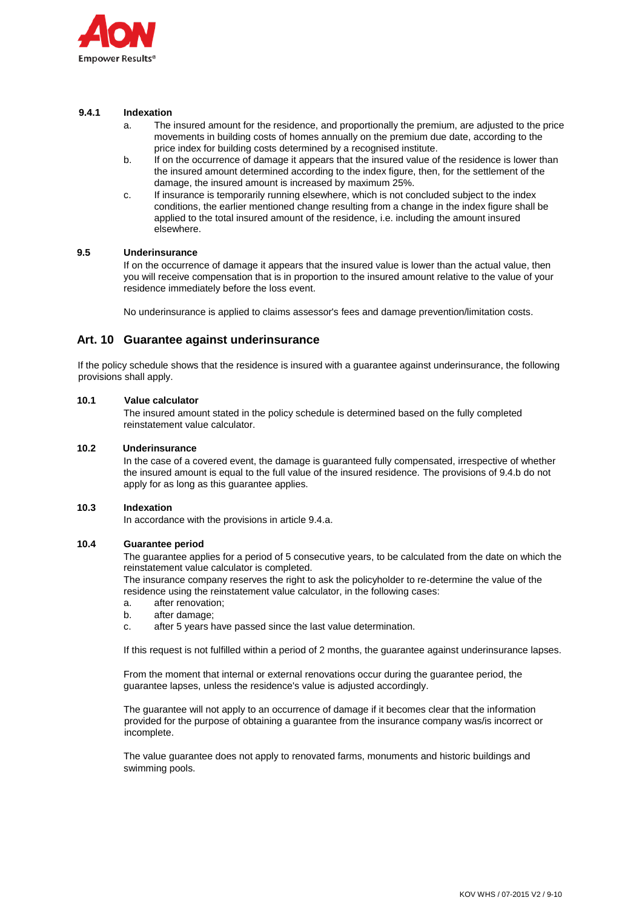

## **9.4.1 Indexation**

- a. The insured amount for the residence, and proportionally the premium, are adjusted to the price movements in building costs of homes annually on the premium due date, according to the price index for building costs determined by a recognised institute.
- b. If on the occurrence of damage it appears that the insured value of the residence is lower than the insured amount determined according to the index figure, then, for the settlement of the damage, the insured amount is increased by maximum 25%.
- c. If insurance is temporarily running elsewhere, which is not concluded subject to the index conditions, the earlier mentioned change resulting from a change in the index figure shall be applied to the total insured amount of the residence, i.e. including the amount insured elsewhere.

# **9.5 Underinsurance**

If on the occurrence of damage it appears that the insured value is lower than the actual value, then you will receive compensation that is in proportion to the insured amount relative to the value of your residence immediately before the loss event.

No underinsurance is applied to claims assessor's fees and damage prevention/limitation costs.

# **Art. 10 Guarantee against underinsurance**

If the policy schedule shows that the residence is insured with a guarantee against underinsurance, the following provisions shall apply.

#### **10.1 Value calculator**

The insured amount stated in the policy schedule is determined based on the fully completed reinstatement value calculator.

#### **10.2 Underinsurance**

In the case of a covered event, the damage is guaranteed fully compensated, irrespective of whether the insured amount is equal to the full value of the insured residence. The provisions of 9.4.b do not apply for as long as this guarantee applies.

#### **10.3 Indexation**

In accordance with the provisions in article 9.4.a.

#### **10.4 Guarantee period**

The guarantee applies for a period of 5 consecutive years, to be calculated from the date on which the reinstatement value calculator is completed.

The insurance company reserves the right to ask the policyholder to re-determine the value of the residence using the reinstatement value calculator, in the following cases:

- a. after renovation;
- b. after damage;
- c. after 5 years have passed since the last value determination.

If this request is not fulfilled within a period of 2 months, the guarantee against underinsurance lapses.

From the moment that internal or external renovations occur during the guarantee period, the guarantee lapses, unless the residence's value is adjusted accordingly.

The guarantee will not apply to an occurrence of damage if it becomes clear that the information provided for the purpose of obtaining a guarantee from the insurance company was/is incorrect or incomplete.

 The value guarantee does not apply to renovated farms, monuments and historic buildings and swimming pools.